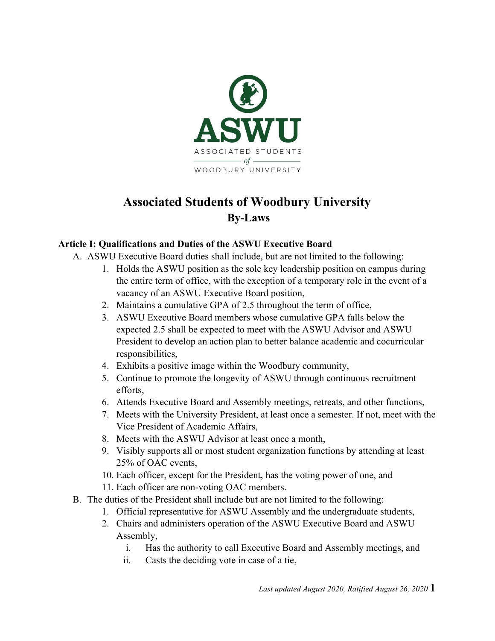

# **Associated Students of Woodbury University By-Laws**

### **Article I: Qualifications and Duties of the ASWU Executive Board**

- A. ASWU Executive Board duties shall include, but are not limited to the following:
	- 1. Holds the ASWU position as the sole key leadership position on campus during the entire term of office, with the exception of a temporary role in the event of a vacancy of an ASWU Executive Board position,
	- 2. Maintains a cumulative GPA of 2.5 throughout the term of office,
	- 3. ASWU Executive Board members whose cumulative GPA falls below the expected 2.5 shall be expected to meet with the ASWU Advisor and ASWU President to develop an action plan to better balance academic and cocurricular responsibilities,
	- 4. Exhibits a positive image within the Woodbury community,
	- 5. Continue to promote the longevity of ASWU through continuous recruitment efforts,
	- 6. Attends Executive Board and Assembly meetings, retreats, and other functions,
	- 7. Meets with the University President, at least once a semester. If not, meet with the Vice President of Academic Affairs,
	- 8. Meets with the ASWU Advisor at least once a month,
	- 9. Visibly supports all or most student organization functions by attending at least 25% of OAC events,
	- 10. Each officer, except for the President, has the voting power of one, and
	- 11. Each officer are non-voting OAC members.
- B. The duties of the President shall include but are not limited to the following:
	- 1. Official representative for ASWU Assembly and the undergraduate students,
	- 2. Chairs and administers operation of the ASWU Executive Board and ASWU Assembly,
		- i. Has the authority to call Executive Board and Assembly meetings, and
		- ii. Casts the deciding vote in case of a tie,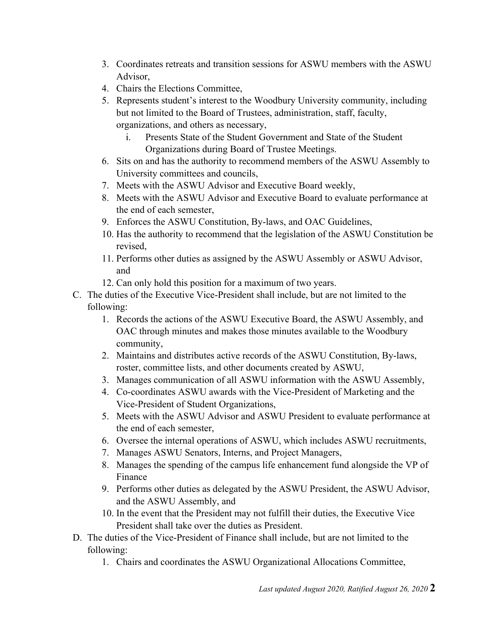- 3. Coordinates retreats and transition sessions for ASWU members with the ASWU Advisor,
- 4. Chairs the Elections Committee,
- 5. Represents student's interest to the Woodbury University community, including but not limited to the Board of Trustees, administration, staff, faculty, organizations, and others as necessary,
	- i. Presents State of the Student Government and State of the Student Organizations during Board of Trustee Meetings.
- 6. Sits on and has the authority to recommend members of the ASWU Assembly to University committees and councils,
- 7. Meets with the ASWU Advisor and Executive Board weekly,
- 8. Meets with the ASWU Advisor and Executive Board to evaluate performance at the end of each semester,
- 9. Enforces the ASWU Constitution, By-laws, and OAC Guidelines,
- 10. Has the authority to recommend that the legislation of the ASWU Constitution be revised,
- 11. Performs other duties as assigned by the ASWU Assembly or ASWU Advisor, and
- 12. Can only hold this position for a maximum of two years.
- C. The duties of the Executive Vice-President shall include, but are not limited to the following:
	- 1. Records the actions of the ASWU Executive Board, the ASWU Assembly, and OAC through minutes and makes those minutes available to the Woodbury community,
	- 2. Maintains and distributes active records of the ASWU Constitution, By-laws, roster, committee lists, and other documents created by ASWU,
	- 3. Manages communication of all ASWU information with the ASWU Assembly,
	- 4. Co-coordinates ASWU awards with the Vice-President of Marketing and the Vice-President of Student Organizations,
	- 5. Meets with the ASWU Advisor and ASWU President to evaluate performance at the end of each semester,
	- 6. Oversee the internal operations of ASWU, which includes ASWU recruitments,
	- 7. Manages ASWU Senators, Interns, and Project Managers,
	- 8. Manages the spending of the campus life enhancement fund alongside the VP of Finance
	- 9. Performs other duties as delegated by the ASWU President, the ASWU Advisor, and the ASWU Assembly, and
	- 10. In the event that the President may not fulfill their duties, the Executive Vice President shall take over the duties as President.
- D. The duties of the Vice-President of Finance shall include, but are not limited to the following:
	- 1. Chairs and coordinates the ASWU Organizational Allocations Committee,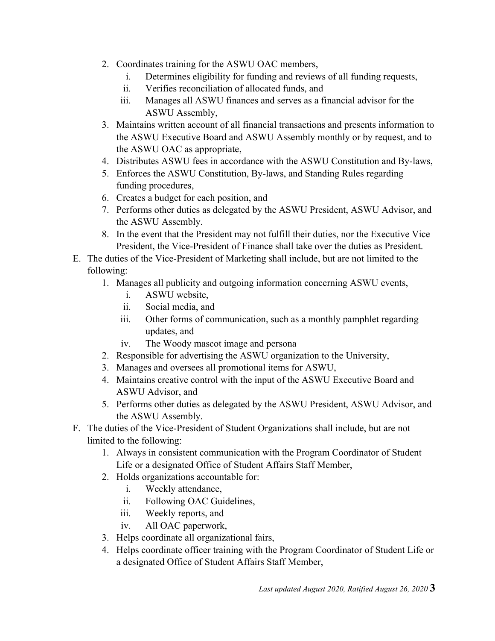- 2. Coordinates training for the ASWU OAC members,
	- i. Determines eligibility for funding and reviews of all funding requests,
	- ii. Verifies reconciliation of allocated funds, and
	- iii. Manages all ASWU finances and serves as a financial advisor for the ASWU Assembly,
- 3. Maintains written account of all financial transactions and presents information to the ASWU Executive Board and ASWU Assembly monthly or by request, and to the ASWU OAC as appropriate,
- 4. Distributes ASWU fees in accordance with the ASWU Constitution and By-laws,
- 5. Enforces the ASWU Constitution, By-laws, and Standing Rules regarding funding procedures,
- 6. Creates a budget for each position, and
- 7. Performs other duties as delegated by the ASWU President, ASWU Advisor, and the ASWU Assembly.
- 8. In the event that the President may not fulfill their duties, nor the Executive Vice President, the Vice-President of Finance shall take over the duties as President.
- E. The duties of the Vice-President of Marketing shall include, but are not limited to the following:
	- 1. Manages all publicity and outgoing information concerning ASWU events,
		- i. ASWU website,
		- ii. Social media, and
		- iii. Other forms of communication, such as a monthly pamphlet regarding updates, and
		- iv. The Woody mascot image and persona
	- 2. Responsible for advertising the ASWU organization to the University,
	- 3. Manages and oversees all promotional items for ASWU,
	- 4. Maintains creative control with the input of the ASWU Executive Board and ASWU Advisor, and
	- 5. Performs other duties as delegated by the ASWU President, ASWU Advisor, and the ASWU Assembly.
- F. The duties of the Vice-President of Student Organizations shall include, but are not limited to the following:
	- 1. Always in consistent communication with the Program Coordinator of Student Life or a designated Office of Student Affairs Staff Member,
	- 2. Holds organizations accountable for:
		- i. Weekly attendance,
		- ii. Following OAC Guidelines,
		- iii. Weekly reports, and
		- iv. All OAC paperwork,
	- 3. Helps coordinate all organizational fairs,
	- 4. Helps coordinate officer training with the Program Coordinator of Student Life or a designated Office of Student Affairs Staff Member,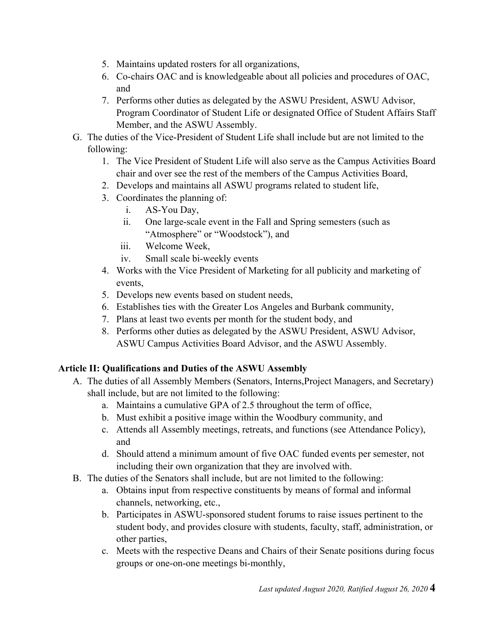- 5. Maintains updated rosters for all organizations,
- 6. Co-chairs OAC and is knowledgeable about all policies and procedures of OAC, and
- 7. Performs other duties as delegated by the ASWU President, ASWU Advisor, Program Coordinator of Student Life or designated Office of Student Affairs Staff Member, and the ASWU Assembly.
- G. The duties of the Vice-President of Student Life shall include but are not limited to the following:
	- 1. The Vice President of Student Life will also serve as the Campus Activities Board chair and over see the rest of the members of the Campus Activities Board,
	- 2. Develops and maintains all ASWU programs related to student life,
	- 3. Coordinates the planning of:
		- i. AS-You Day,
		- ii. One large-scale event in the Fall and Spring semesters (such as "Atmosphere" or "Woodstock"), and
		- iii. Welcome Week,
		- iv. Small scale bi-weekly events
	- 4. Works with the Vice President of Marketing for all publicity and marketing of events,
	- 5. Develops new events based on student needs,
	- 6. Establishes ties with the Greater Los Angeles and Burbank community,
	- 7. Plans at least two events per month for the student body, and
	- 8. Performs other duties as delegated by the ASWU President, ASWU Advisor, ASWU Campus Activities Board Advisor, and the ASWU Assembly.

#### **Article II: Qualifications and Duties of the ASWU Assembly**

- A. The duties of all Assembly Members (Senators, Interns,Project Managers, and Secretary) shall include, but are not limited to the following:
	- a. Maintains a cumulative GPA of 2.5 throughout the term of office,
	- b. Must exhibit a positive image within the Woodbury community, and
	- c. Attends all Assembly meetings, retreats, and functions (see Attendance Policy), and
	- d. Should attend a minimum amount of five OAC funded events per semester, not including their own organization that they are involved with.
- B. The duties of the Senators shall include, but are not limited to the following:
	- a. Obtains input from respective constituents by means of formal and informal channels, networking, etc.,
	- b. Participates in ASWU-sponsored student forums to raise issues pertinent to the student body, and provides closure with students, faculty, staff, administration, or other parties,
	- c. Meets with the respective Deans and Chairs of their Senate positions during focus groups or one-on-one meetings bi-monthly,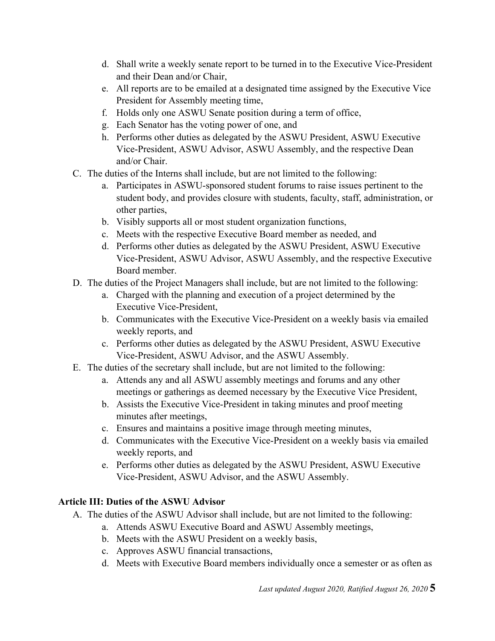- d. Shall write a weekly senate report to be turned in to the Executive Vice-President and their Dean and/or Chair,
- e. All reports are to be emailed at a designated time assigned by the Executive Vice President for Assembly meeting time,
- f. Holds only one ASWU Senate position during a term of office,
- g. Each Senator has the voting power of one, and
- h. Performs other duties as delegated by the ASWU President, ASWU Executive Vice-President, ASWU Advisor, ASWU Assembly, and the respective Dean and/or Chair.
- C. The duties of the Interns shall include, but are not limited to the following:
	- a. Participates in ASWU-sponsored student forums to raise issues pertinent to the student body, and provides closure with students, faculty, staff, administration, or other parties,
	- b. Visibly supports all or most student organization functions,
	- c. Meets with the respective Executive Board member as needed, and
	- d. Performs other duties as delegated by the ASWU President, ASWU Executive Vice-President, ASWU Advisor, ASWU Assembly, and the respective Executive Board member.
- D. The duties of the Project Managers shall include, but are not limited to the following:
	- a. Charged with the planning and execution of a project determined by the Executive Vice-President,
	- b. Communicates with the Executive Vice-President on a weekly basis via emailed weekly reports, and
	- c. Performs other duties as delegated by the ASWU President, ASWU Executive Vice-President, ASWU Advisor, and the ASWU Assembly.
- E. The duties of the secretary shall include, but are not limited to the following:
	- a. Attends any and all ASWU assembly meetings and forums and any other meetings or gatherings as deemed necessary by the Executive Vice President,
	- b. Assists the Executive Vice-President in taking minutes and proof meeting minutes after meetings,
	- c. Ensures and maintains a positive image through meeting minutes,
	- d. Communicates with the Executive Vice-President on a weekly basis via emailed weekly reports, and
	- e. Performs other duties as delegated by the ASWU President, ASWU Executive Vice-President, ASWU Advisor, and the ASWU Assembly.

## **Article III: Duties of the ASWU Advisor**

- A. The duties of the ASWU Advisor shall include, but are not limited to the following:
	- a. Attends ASWU Executive Board and ASWU Assembly meetings,
	- b. Meets with the ASWU President on a weekly basis,
	- c. Approves ASWU financial transactions,
	- d. Meets with Executive Board members individually once a semester or as often as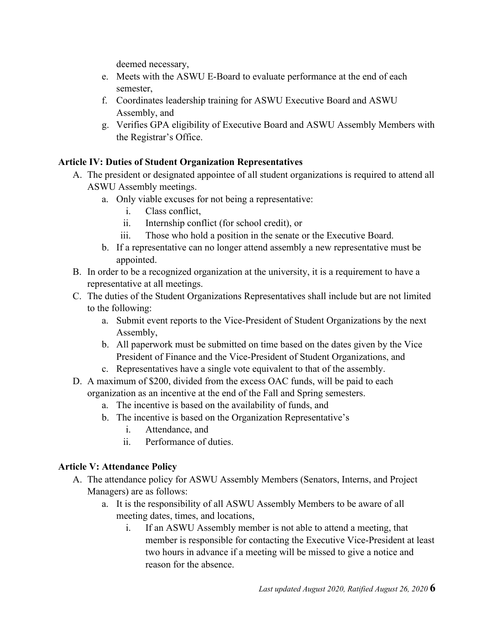deemed necessary,

- e. Meets with the ASWU E-Board to evaluate performance at the end of each semester,
- f. Coordinates leadership training for ASWU Executive Board and ASWU Assembly, and
- g. Verifies GPA eligibility of Executive Board and ASWU Assembly Members with the Registrar's Office.

### **Article IV: Duties of Student Organization Representatives**

- A. The president or designated appointee of all student organizations is required to attend all ASWU Assembly meetings.
	- a. Only viable excuses for not being a representative:
		- i. Class conflict,
		- ii. Internship conflict (for school credit), or
		- iii. Those who hold a position in the senate or the Executive Board.
	- b. If a representative can no longer attend assembly a new representative must be appointed.
- B. In order to be a recognized organization at the university, it is a requirement to have a representative at all meetings.
- C. The duties of the Student Organizations Representatives shall include but are not limited to the following:
	- a. Submit event reports to the Vice-President of Student Organizations by the next Assembly,
	- b. All paperwork must be submitted on time based on the dates given by the Vice President of Finance and the Vice-President of Student Organizations, and
	- c. Representatives have a single vote equivalent to that of the assembly.
- D. A maximum of \$200, divided from the excess OAC funds, will be paid to each organization as an incentive at the end of the Fall and Spring semesters.
	- a. The incentive is based on the availability of funds, and
	- b. The incentive is based on the Organization Representative's
		- i. Attendance, and
		- ii. Performance of duties.

## **Article V: Attendance Policy**

- A. The attendance policy for ASWU Assembly Members (Senators, Interns, and Project Managers) are as follows:
	- a. It is the responsibility of all ASWU Assembly Members to be aware of all meeting dates, times, and locations,
		- i. If an ASWU Assembly member is not able to attend a meeting, that member is responsible for contacting the Executive Vice-President at least two hours in advance if a meeting will be missed to give a notice and reason for the absence.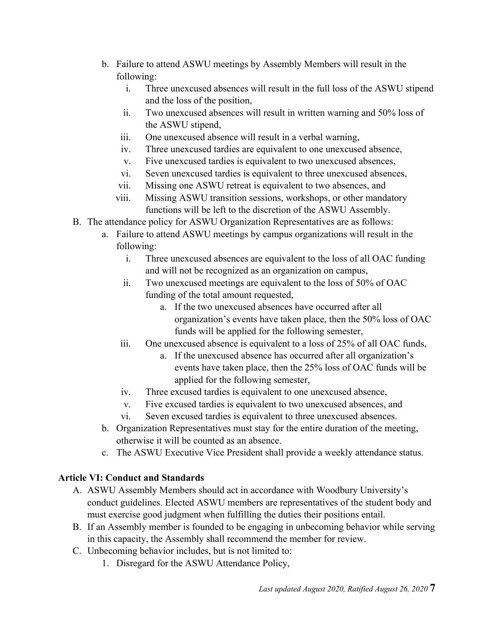- b. Failure to attend ASWU meetings by Assembly Members will result in the following:
	- i. Three unexcused absences will result in the full loss of the ASWU stipend and the loss of the position,
	- ii. Two unexcused absences will result in written warning and 50% loss of the ASWU stipend,
	- iii. One unexcused absence will result in a verbal warning,
	- iv. Three unexcused tardies are equivalent to one unexcused absence,
	- v. Five unexcused tardies is equivalent to two unexcused absences,
	- vi. Seven unexcused tardies is equivalent to three unexcused absences,
	- vii. Missing one ASWU retreat is equivalent to two absences, and
	- viii. Missing ASWU transition sessions, workshops, or other mandatory functions will be left to the discretion of the ASWU Assembly.
- B. The attendance policy for ASWU Organization Representatives are as follows:
	- a. Failure to attend ASWU meetings by campus organizations will result in the following:
		- i. Three unexcused absences are equivalent to the loss of all OAC funding and will not be recognized as an organization on campus,
		- ii. Two unexcused meetings are equivalent to the loss of 50% of OAC funding of the total amount requested,
			- a. If the two unexcused absences have occurred after all organization's events have taken place, then the 50% loss of OAC funds will be applied for the following semester,
		- iii. One unexcused absence is equivalent to a loss of 25% of all OAC funds,
			- a. If the unexcused absence has occurred after all organization's events have taken place, then the 25% loss of OAC funds will be applied for the following semester,
		- iv. Three excused tardies is equivalent to one unexcused absence,
		- v. Five excused tardies is equivalent to two unexcused absences, and
		- vi. Seven excused tardies is equivalent to three unexcused absences.
	- b. Organization Representatives must stay for the entire duration of the meeting, otherwise it will be counted as an absence.
	- c. The ASWU Executive Vice President shall provide a weekly attendance status.

## **Article VI: Conduct and Standards**

- A. ASWU Assembly Members should act in accordance with Woodbury University's conduct guidelines. Elected ASWU members are representatives of the student body and must exercise good judgment when fulfilling the duties their positions entail.
- B. If an Assembly member is founded to be engaging in unbecoming behavior while serving in this capacity, the Assembly shall recommend the member for review.
- C. Unbecoming behavior includes, but is not limited to:
	- 1. Disregard for the ASWU Attendance Policy,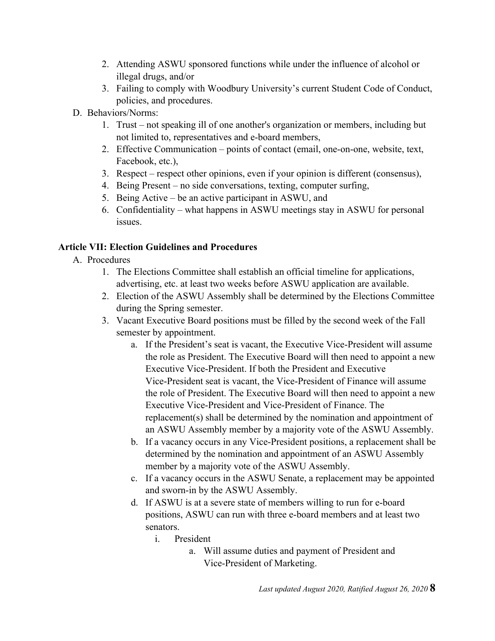- 2. Attending ASWU sponsored functions while under the influence of alcohol or illegal drugs, and/or
- 3. Failing to comply with Woodbury University's current Student Code of Conduct, policies, and procedures.
- D. Behaviors/Norms:
	- 1. Trust not speaking ill of one another's organization or members, including but not limited to, representatives and e-board members,
	- 2. Effective Communication points of contact (email, one-on-one, website, text, Facebook, etc.),
	- 3. Respect respect other opinions, even if your opinion is different (consensus),
	- 4. Being Present no side conversations, texting, computer surfing,
	- 5. Being Active be an active participant in ASWU, and
	- 6. Confidentiality what happens in ASWU meetings stay in ASWU for personal issues.

#### **Article VII: Election Guidelines and Procedures**

- A. Procedures
	- 1. The Elections Committee shall establish an official timeline for applications, advertising, etc. at least two weeks before ASWU application are available.
	- 2. Election of the ASWU Assembly shall be determined by the Elections Committee during the Spring semester.
	- 3. Vacant Executive Board positions must be filled by the second week of the Fall semester by appointment.
		- a. If the President's seat is vacant, the Executive Vice-President will assume the role as President. The Executive Board will then need to appoint a new Executive Vice-President. If both the President and Executive Vice-President seat is vacant, the Vice-President of Finance will assume the role of President. The Executive Board will then need to appoint a new Executive Vice-President and Vice-President of Finance. The replacement(s) shall be determined by the nomination and appointment of an ASWU Assembly member by a majority vote of the ASWU Assembly.
		- b. If a vacancy occurs in any Vice-President positions, a replacement shall be determined by the nomination and appointment of an ASWU Assembly member by a majority vote of the ASWU Assembly.
		- c. If a vacancy occurs in the ASWU Senate, a replacement may be appointed and sworn-in by the ASWU Assembly.
		- d. If ASWU is at a severe state of members willing to run for e-board positions, ASWU can run with three e-board members and at least two senators.
			- i. President
				- a. Will assume duties and payment of President and Vice-President of Marketing.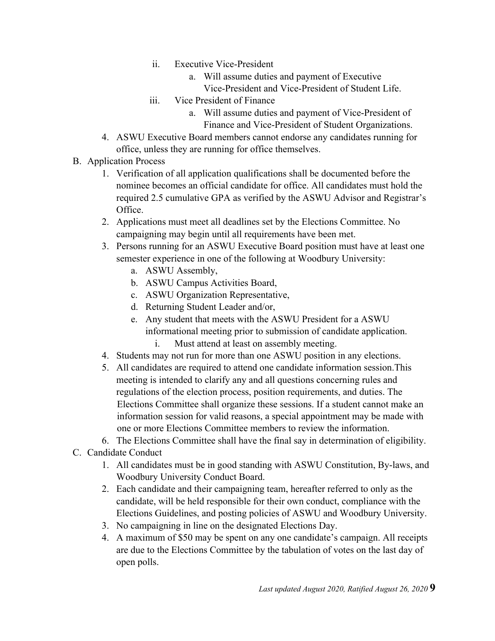- ii. Executive Vice-President
	- a. Will assume duties and payment of Executive Vice-President and Vice-President of Student Life.
- iii. Vice President of Finance
	- a. Will assume duties and payment of Vice-President of Finance and Vice-President of Student Organizations.
- 4. ASWU Executive Board members cannot endorse any candidates running for office, unless they are running for office themselves.
- B. Application Process
	- 1. Verification of all application qualifications shall be documented before the nominee becomes an official candidate for office. All candidates must hold the required 2.5 cumulative GPA as verified by the ASWU Advisor and Registrar's Office.
	- 2. Applications must meet all deadlines set by the Elections Committee. No campaigning may begin until all requirements have been met.
	- 3. Persons running for an ASWU Executive Board position must have at least one semester experience in one of the following at Woodbury University:
		- a. ASWU Assembly,
		- b. ASWU Campus Activities Board,
		- c. ASWU Organization Representative,
		- d. Returning Student Leader and/or,
		- e. Any student that meets with the ASWU President for a ASWU informational meeting prior to submission of candidate application.
			- i. Must attend at least on assembly meeting.
	- 4. Students may not run for more than one ASWU position in any elections.
	- 5. All candidates are required to attend one candidate information session.This meeting is intended to clarify any and all questions concerning rules and regulations of the election process, position requirements, and duties. The Elections Committee shall organize these sessions. If a student cannot make an information session for valid reasons, a special appointment may be made with one or more Elections Committee members to review the information.
	- 6. The Elections Committee shall have the final say in determination of eligibility.
- C. Candidate Conduct
	- 1. All candidates must be in good standing with ASWU Constitution, By-laws, and Woodbury University Conduct Board.
	- 2. Each candidate and their campaigning team, hereafter referred to only as the candidate, will be held responsible for their own conduct, compliance with the Elections Guidelines, and posting policies of ASWU and Woodbury University.
	- 3. No campaigning in line on the designated Elections Day.
	- 4. A maximum of \$50 may be spent on any one candidate's campaign. All receipts are due to the Elections Committee by the tabulation of votes on the last day of open polls.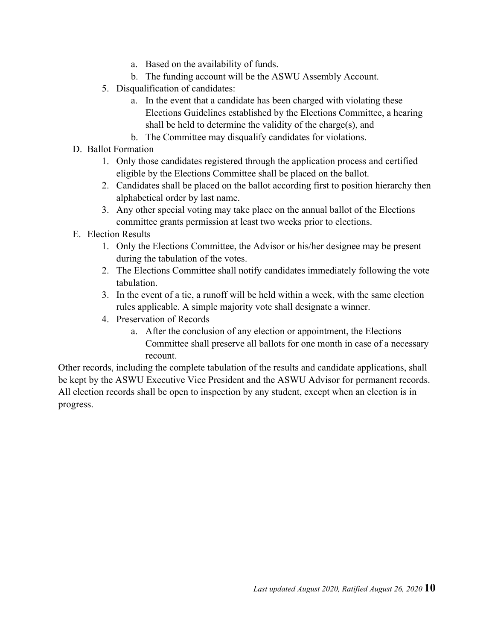- a. Based on the availability of funds.
- b. The funding account will be the ASWU Assembly Account.
- 5. Disqualification of candidates:
	- a. In the event that a candidate has been charged with violating these Elections Guidelines established by the Elections Committee, a hearing shall be held to determine the validity of the charge(s), and
	- b. The Committee may disqualify candidates for violations.
- D. Ballot Formation
	- 1. Only those candidates registered through the application process and certified eligible by the Elections Committee shall be placed on the ballot.
	- 2. Candidates shall be placed on the ballot according first to position hierarchy then alphabetical order by last name.
	- 3. Any other special voting may take place on the annual ballot of the Elections committee grants permission at least two weeks prior to elections.
- E. Election Results
	- 1. Only the Elections Committee, the Advisor or his/her designee may be present during the tabulation of the votes.
	- 2. The Elections Committee shall notify candidates immediately following the vote tabulation.
	- 3. In the event of a tie, a runoff will be held within a week, with the same election rules applicable. A simple majority vote shall designate a winner.
	- 4. Preservation of Records
		- a. After the conclusion of any election or appointment, the Elections Committee shall preserve all ballots for one month in case of a necessary recount.

Other records, including the complete tabulation of the results and candidate applications, shall be kept by the ASWU Executive Vice President and the ASWU Advisor for permanent records. All election records shall be open to inspection by any student, except when an election is in progress.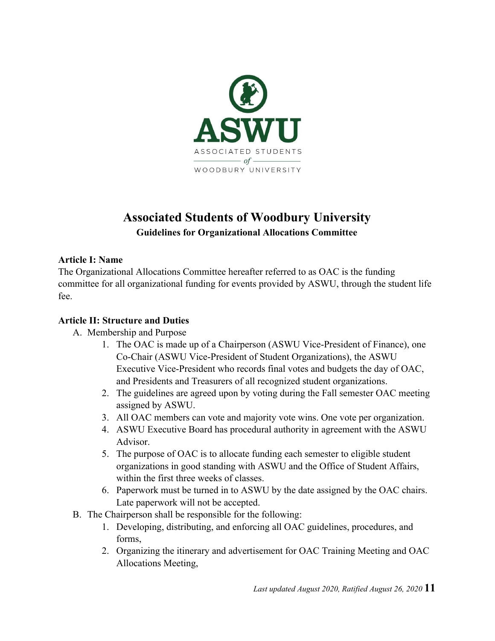

# **Associated Students of Woodbury University Guidelines for Organizational Allocations Committee**

#### **Article I: Name**

The Organizational Allocations Committee hereafter referred to as OAC is the funding committee for all organizational funding for events provided by ASWU, through the student life fee.

#### **Article II: Structure and Duties**

- A. Membership and Purpose
	- 1. The OAC is made up of a Chairperson (ASWU Vice-President of Finance), one Co-Chair (ASWU Vice-President of Student Organizations), the ASWU Executive Vice-President who records final votes and budgets the day of OAC, and Presidents and Treasurers of all recognized student organizations.
	- 2. The guidelines are agreed upon by voting during the Fall semester OAC meeting assigned by ASWU.
	- 3. All OAC members can vote and majority vote wins. One vote per organization.
	- 4. ASWU Executive Board has procedural authority in agreement with the ASWU Advisor.
	- 5. The purpose of OAC is to allocate funding each semester to eligible student organizations in good standing with ASWU and the Office of Student Affairs, within the first three weeks of classes.
	- 6. Paperwork must be turned in to ASWU by the date assigned by the OAC chairs. Late paperwork will not be accepted.
- B. The Chairperson shall be responsible for the following:
	- 1. Developing, distributing, and enforcing all OAC guidelines, procedures, and forms,
	- 2. Organizing the itinerary and advertisement for OAC Training Meeting and OAC Allocations Meeting,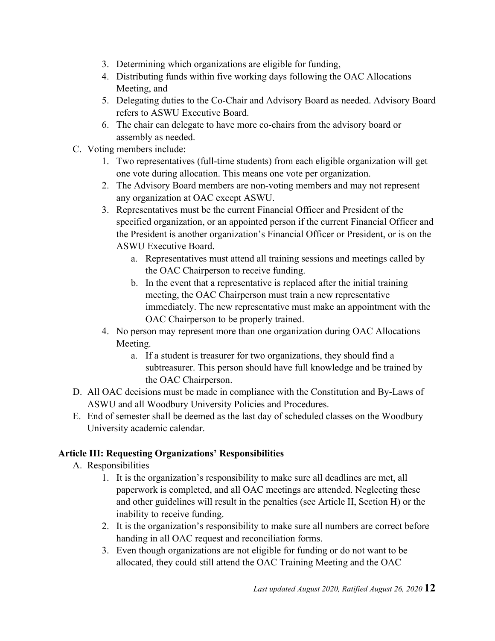- 3. Determining which organizations are eligible for funding,
- 4. Distributing funds within five working days following the OAC Allocations Meeting, and
- 5. Delegating duties to the Co-Chair and Advisory Board as needed. Advisory Board refers to ASWU Executive Board.
- 6. The chair can delegate to have more co-chairs from the advisory board or assembly as needed.
- C. Voting members include:
	- 1. Two representatives (full-time students) from each eligible organization will get one vote during allocation. This means one vote per organization.
	- 2. The Advisory Board members are non-voting members and may not represent any organization at OAC except ASWU.
	- 3. Representatives must be the current Financial Officer and President of the specified organization, or an appointed person if the current Financial Officer and the President is another organization's Financial Officer or President, or is on the ASWU Executive Board.
		- a. Representatives must attend all training sessions and meetings called by the OAC Chairperson to receive funding.
		- b. In the event that a representative is replaced after the initial training meeting, the OAC Chairperson must train a new representative immediately. The new representative must make an appointment with the OAC Chairperson to be properly trained.
	- 4. No person may represent more than one organization during OAC Allocations Meeting.
		- a. If a student is treasurer for two organizations, they should find a subtreasurer. This person should have full knowledge and be trained by the OAC Chairperson.
- D. All OAC decisions must be made in compliance with the Constitution and By-Laws of ASWU and all Woodbury University Policies and Procedures.
- E. End of semester shall be deemed as the last day of scheduled classes on the Woodbury University academic calendar.

## **Article III: Requesting Organizations' Responsibilities**

- A. Responsibilities
	- 1. It is the organization's responsibility to make sure all deadlines are met, all paperwork is completed, and all OAC meetings are attended. Neglecting these and other guidelines will result in the penalties (see Article II, Section H) or the inability to receive funding.
	- 2. It is the organization's responsibility to make sure all numbers are correct before handing in all OAC request and reconciliation forms.
	- 3. Even though organizations are not eligible for funding or do not want to be allocated, they could still attend the OAC Training Meeting and the OAC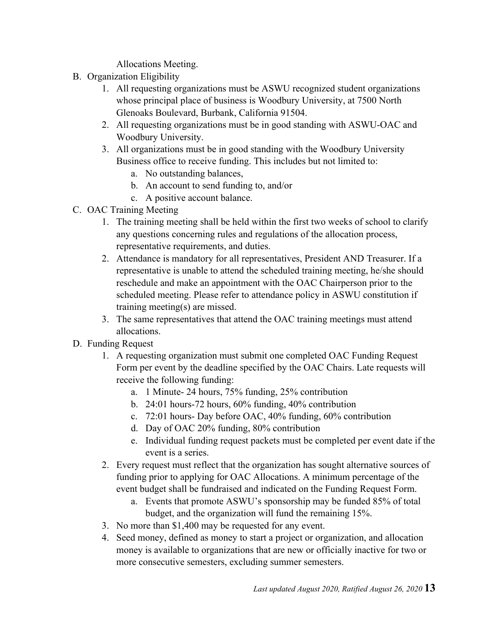Allocations Meeting.

- B. Organization Eligibility
	- 1. All requesting organizations must be ASWU recognized student organizations whose principal place of business is Woodbury University, at 7500 North Glenoaks Boulevard, Burbank, California 91504.
	- 2. All requesting organizations must be in good standing with ASWU-OAC and Woodbury University.
	- 3. All organizations must be in good standing with the Woodbury University Business office to receive funding. This includes but not limited to:
		- a. No outstanding balances,
		- b. An account to send funding to, and/or
		- c. A positive account balance.
- C. OAC Training Meeting
	- 1. The training meeting shall be held within the first two weeks of school to clarify any questions concerning rules and regulations of the allocation process, representative requirements, and duties.
	- 2. Attendance is mandatory for all representatives, President AND Treasurer. If a representative is unable to attend the scheduled training meeting, he/she should reschedule and make an appointment with the OAC Chairperson prior to the scheduled meeting. Please refer to attendance policy in ASWU constitution if training meeting(s) are missed.
	- 3. The same representatives that attend the OAC training meetings must attend allocations.
- D. Funding Request
	- 1. A requesting organization must submit one completed OAC Funding Request Form per event by the deadline specified by the OAC Chairs. Late requests will receive the following funding:
		- a. 1 Minute- 24 hours, 75% funding, 25% contribution
		- b. 24:01 hours-72 hours, 60% funding, 40% contribution
		- c. 72:01 hours- Day before OAC, 40% funding, 60% contribution
		- d. Day of OAC 20% funding, 80% contribution
		- e. Individual funding request packets must be completed per event date if the event is a series.
	- 2. Every request must reflect that the organization has sought alternative sources of funding prior to applying for OAC Allocations. A minimum percentage of the event budget shall be fundraised and indicated on the Funding Request Form.
		- a. Events that promote ASWU's sponsorship may be funded 85% of total budget, and the organization will fund the remaining 15%.
	- 3. No more than \$1,400 may be requested for any event.
	- 4. Seed money, defined as money to start a project or organization, and allocation money is available to organizations that are new or officially inactive for two or more consecutive semesters, excluding summer semesters.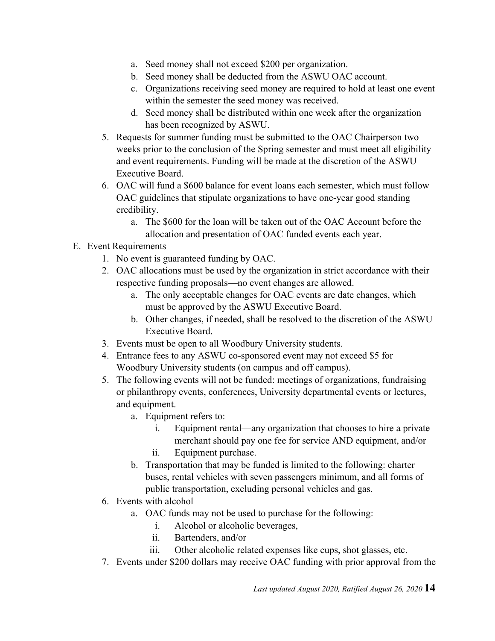- a. Seed money shall not exceed \$200 per organization.
- b. Seed money shall be deducted from the ASWU OAC account.
- c. Organizations receiving seed money are required to hold at least one event within the semester the seed money was received.
- d. Seed money shall be distributed within one week after the organization has been recognized by ASWU.
- 5. Requests for summer funding must be submitted to the OAC Chairperson two weeks prior to the conclusion of the Spring semester and must meet all eligibility and event requirements. Funding will be made at the discretion of the ASWU Executive Board.
- 6. OAC will fund a \$600 balance for event loans each semester, which must follow OAC guidelines that stipulate organizations to have one-year good standing credibility.
	- a. The \$600 for the loan will be taken out of the OAC Account before the allocation and presentation of OAC funded events each year.

### E. Event Requirements

- 1. No event is guaranteed funding by OAC.
- 2. OAC allocations must be used by the organization in strict accordance with their respective funding proposals—no event changes are allowed.
	- a. The only acceptable changes for OAC events are date changes, which must be approved by the ASWU Executive Board.
	- b. Other changes, if needed, shall be resolved to the discretion of the ASWU Executive Board.
- 3. Events must be open to all Woodbury University students.
- 4. Entrance fees to any ASWU co-sponsored event may not exceed \$5 for Woodbury University students (on campus and off campus).
- 5. The following events will not be funded: meetings of organizations, fundraising or philanthropy events, conferences, University departmental events or lectures, and equipment.
	- a. Equipment refers to:
		- i. Equipment rental—any organization that chooses to hire a private merchant should pay one fee for service AND equipment, and/or ii. Equipment purchase.
	- b. Transportation that may be funded is limited to the following: charter
	- buses, rental vehicles with seven passengers minimum, and all forms of public transportation, excluding personal vehicles and gas.
- 6. Events with alcohol
	- a. OAC funds may not be used to purchase for the following:
		- i. Alcohol or alcoholic beverages,
		- ii. Bartenders, and/or
		- iii. Other alcoholic related expenses like cups, shot glasses, etc.
- 7. Events under \$200 dollars may receive OAC funding with prior approval from the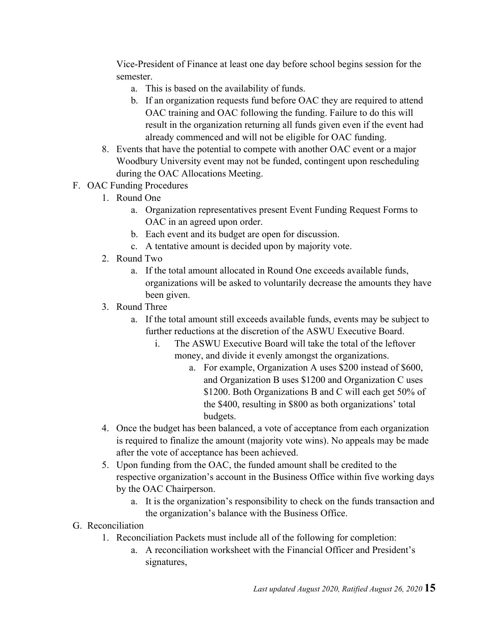Vice-President of Finance at least one day before school begins session for the semester.

- a. This is based on the availability of funds.
- b. If an organization requests fund before OAC they are required to attend OAC training and OAC following the funding. Failure to do this will result in the organization returning all funds given even if the event had already commenced and will not be eligible for OAC funding.
- 8. Events that have the potential to compete with another OAC event or a major Woodbury University event may not be funded, contingent upon rescheduling during the OAC Allocations Meeting.
- F. OAC Funding Procedures
	- 1. Round One
		- a. Organization representatives present Event Funding Request Forms to OAC in an agreed upon order.
		- b. Each event and its budget are open for discussion.
		- c. A tentative amount is decided upon by majority vote.
	- 2. Round Two
		- a. If the total amount allocated in Round One exceeds available funds, organizations will be asked to voluntarily decrease the amounts they have been given.
	- 3. Round Three
		- a. If the total amount still exceeds available funds, events may be subject to further reductions at the discretion of the ASWU Executive Board.
			- i. The ASWU Executive Board will take the total of the leftover money, and divide it evenly amongst the organizations.
				- a. For example, Organization A uses \$200 instead of \$600, and Organization B uses \$1200 and Organization C uses \$1200. Both Organizations B and C will each get 50% of the \$400, resulting in \$800 as both organizations' total budgets.
	- 4. Once the budget has been balanced, a vote of acceptance from each organization is required to finalize the amount (majority vote wins). No appeals may be made after the vote of acceptance has been achieved.
	- 5. Upon funding from the OAC, the funded amount shall be credited to the respective organization's account in the Business Office within five working days by the OAC Chairperson.
		- a. It is the organization's responsibility to check on the funds transaction and the organization's balance with the Business Office.
- G. Reconciliation
	- 1. Reconciliation Packets must include all of the following for completion:
		- a. A reconciliation worksheet with the Financial Officer and President's signatures,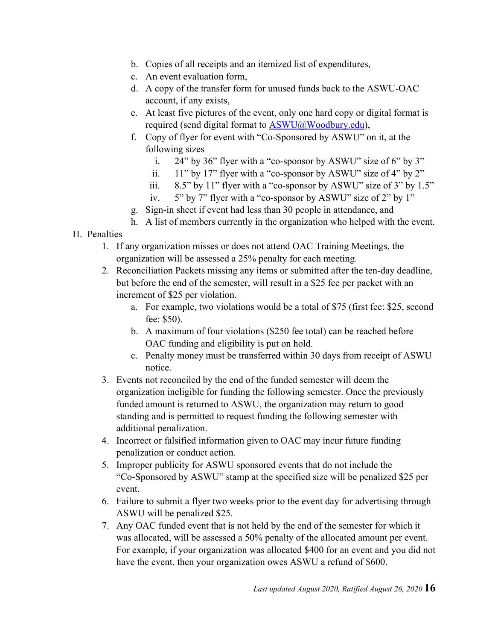- b. Copies of all receipts and an itemized list of expenditures,
- c. An event evaluation form,
- d. A copy of the transfer form for unused funds back to the ASWU-OAC account, if any exists,
- e. At least five pictures of the event, only one hard copy or digital format is required (send digital format to ASWU@Woodbury.edu),
- f. Copy of flyer for event with "Co-Sponsored by ASWU" on it, at the following sizes
	- i. 24" by 36" flyer with a "co-sponsor by ASWU" size of 6" by 3"
	- ii. 11" by 17" flyer with a "co-sponsor by ASWU" size of 4" by 2"
	- iii.  $8.5$ " by 11" flyer with a "co-sponsor by ASWU" size of 3" by 1.5"
	- iv. 5" by 7" flyer with a "co-sponsor by ASWU" size of 2" by 1"
- g. Sign-in sheet if event had less than 30 people in attendance, and
- h. A list of members currently in the organization who helped with the event.

#### H. Penalties

- 1. If any organization misses or does not attend OAC Training Meetings, the organization will be assessed a 25% penalty for each meeting.
- 2. Reconciliation Packets missing any items or submitted after the ten-day deadline, but before the end of the semester, will result in a \$25 fee per packet with an increment of \$25 per violation.
	- a. For example, two violations would be a total of \$75 (first fee: \$25, second fee: \$50).
	- b. A maximum of four violations (\$250 fee total) can be reached before OAC funding and eligibility is put on hold.
	- c. Penalty money must be transferred within 30 days from receipt of ASWU notice.
- 3. Events not reconciled by the end of the funded semester will deem the organization ineligible for funding the following semester. Once the previously funded amount is returned to ASWU, the organization may return to good standing and is permitted to request funding the following semester with additional penalization.
- 4. Incorrect or falsified information given to OAC may incur future funding penalization or conduct action.
- 5. Improper publicity for ASWU sponsored events that do not include the "Co-Sponsored by ASWU" stamp at the specified size will be penalized \$25 per event.
- 6. Failure to submit a flyer two weeks prior to the event day for advertising through ASWU will be penalized \$25.
- 7. Any OAC funded event that is not held by the end of the semester for which it was allocated, will be assessed a 50% penalty of the allocated amount per event. For example, if your organization was allocated \$400 for an event and you did not have the event, then your organization owes ASWU a refund of \$600.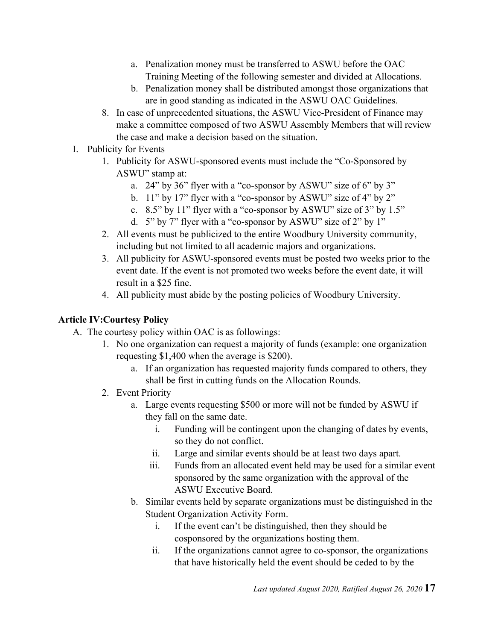- a. Penalization money must be transferred to ASWU before the OAC Training Meeting of the following semester and divided at Allocations.
- b. Penalization money shall be distributed amongst those organizations that are in good standing as indicated in the ASWU OAC Guidelines.
- 8. In case of unprecedented situations, the ASWU Vice-President of Finance may make a committee composed of two ASWU Assembly Members that will review the case and make a decision based on the situation.
- I. Publicity for Events
	- 1. Publicity for ASWU-sponsored events must include the "Co-Sponsored by ASWU" stamp at:
		- a. 24" by 36" flyer with a "co-sponsor by ASWU" size of 6" by 3"
		- b. 11" by 17" flyer with a "co-sponsor by ASWU" size of 4" by 2"
		- c. 8.5" by 11" flyer with a "co-sponsor by ASWU" size of 3" by 1.5"
		- d. 5" by 7" flyer with a "co-sponsor by ASWU" size of 2" by 1"
	- 2. All events must be publicized to the entire Woodbury University community, including but not limited to all academic majors and organizations.
	- 3. All publicity for ASWU-sponsored events must be posted two weeks prior to the event date. If the event is not promoted two weeks before the event date, it will result in a \$25 fine.
	- 4. All publicity must abide by the posting policies of Woodbury University.

### **Article IV:Courtesy Policy**

- A. The courtesy policy within OAC is as followings:
	- 1. No one organization can request a majority of funds (example: one organization requesting \$1,400 when the average is \$200).
		- a. If an organization has requested majority funds compared to others, they shall be first in cutting funds on the Allocation Rounds.
	- 2. Event Priority
		- a. Large events requesting \$500 or more will not be funded by ASWU if they fall on the same date.
			- i. Funding will be contingent upon the changing of dates by events, so they do not conflict.
			- ii. Large and similar events should be at least two days apart.
			- iii. Funds from an allocated event held may be used for a similar event sponsored by the same organization with the approval of the ASWU Executive Board.
		- b. Similar events held by separate organizations must be distinguished in the Student Organization Activity Form.
			- i. If the event can't be distinguished, then they should be cosponsored by the organizations hosting them.
			- ii. If the organizations cannot agree to co-sponsor, the organizations that have historically held the event should be ceded to by the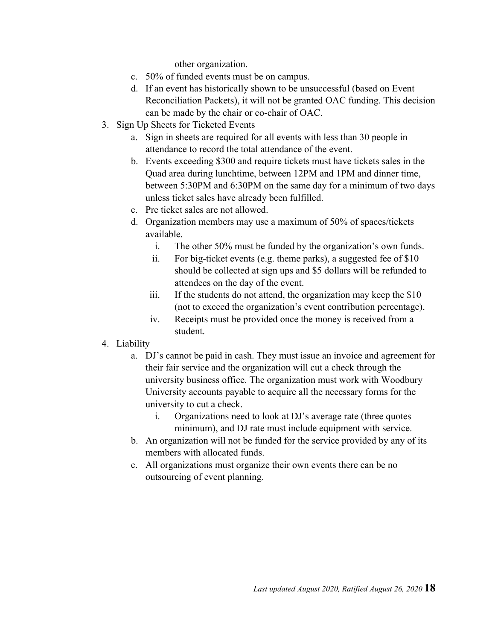other organization.

- c. 50% of funded events must be on campus.
- d. If an event has historically shown to be unsuccessful (based on Event Reconciliation Packets), it will not be granted OAC funding. This decision can be made by the chair or co-chair of OAC.
- 3. Sign Up Sheets for Ticketed Events
	- a. Sign in sheets are required for all events with less than 30 people in attendance to record the total attendance of the event.
	- b. Events exceeding \$300 and require tickets must have tickets sales in the Quad area during lunchtime, between 12PM and 1PM and dinner time, between 5:30PM and 6:30PM on the same day for a minimum of two days unless ticket sales have already been fulfilled.
	- c. Pre ticket sales are not allowed.
	- d. Organization members may use a maximum of 50% of spaces/tickets available.
		- i. The other 50% must be funded by the organization's own funds.
		- ii. For big-ticket events (e.g. theme parks), a suggested fee of \$10 should be collected at sign ups and \$5 dollars will be refunded to attendees on the day of the event.
		- iii. If the students do not attend, the organization may keep the \$10 (not to exceed the organization's event contribution percentage).
		- iv. Receipts must be provided once the money is received from a student.
- 4. Liability
	- a. DJ's cannot be paid in cash. They must issue an invoice and agreement for their fair service and the organization will cut a check through the university business office. The organization must work with Woodbury University accounts payable to acquire all the necessary forms for the university to cut a check.
		- i. Organizations need to look at DJ's average rate (three quotes minimum), and DJ rate must include equipment with service.
	- b. An organization will not be funded for the service provided by any of its members with allocated funds.
	- c. All organizations must organize their own events there can be no outsourcing of event planning.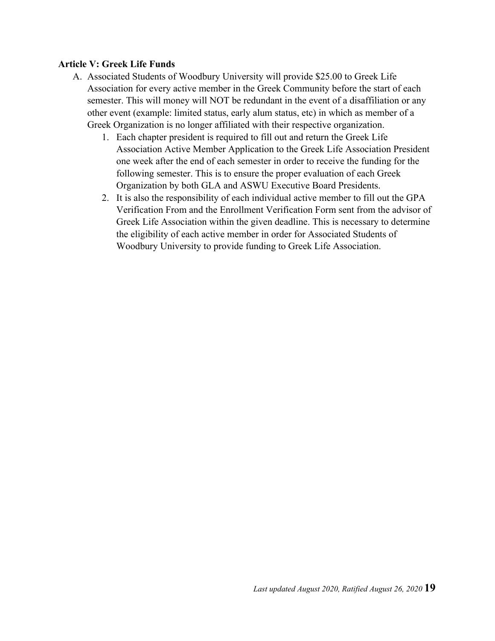#### **Article V: Greek Life Funds**

- A. Associated Students of Woodbury University will provide \$25.00 to Greek Life Association for every active member in the Greek Community before the start of each semester. This will money will NOT be redundant in the event of a disaffiliation or any other event (example: limited status, early alum status, etc) in which as member of a Greek Organization is no longer affiliated with their respective organization.
	- 1. Each chapter president is required to fill out and return the Greek Life Association Active Member Application to the Greek Life Association President one week after the end of each semester in order to receive the funding for the following semester. This is to ensure the proper evaluation of each Greek Organization by both GLA and ASWU Executive Board Presidents.
	- 2. It is also the responsibility of each individual active member to fill out the GPA Verification From and the Enrollment Verification Form sent from the advisor of Greek Life Association within the given deadline. This is necessary to determine the eligibility of each active member in order for Associated Students of Woodbury University to provide funding to Greek Life Association.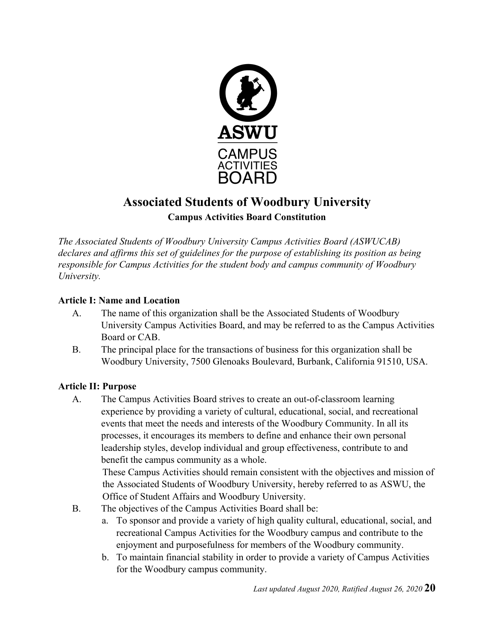

# **Associated Students of Woodbury University Campus Activities Board Constitution**

*The Associated Students of Woodbury University Campus Activities Board (ASWUCAB) declares and affirms this set of guidelines for the purpose of establishing its position as being responsible for Campus Activities for the student body and campus community of Woodbury University.*

#### **Article I: Name and Location**

- A. The name of this organization shall be the Associated Students of Woodbury University Campus Activities Board, and may be referred to as the Campus Activities Board or CAB.
- B. The principal place for the transactions of business for this organization shall be Woodbury University, 7500 Glenoaks Boulevard, Burbank, California 91510, USA.

## **Article II: Purpose**

A. The Campus Activities Board strives to create an out-of-classroom learning experience by providing a variety of cultural, educational, social, and recreational events that meet the needs and interests of the Woodbury Community. In all its processes, it encourages its members to define and enhance their own personal leadership styles, develop individual and group effectiveness, contribute to and benefit the campus community as a whole.

These Campus Activities should remain consistent with the objectives and mission of the Associated Students of Woodbury University, hereby referred to as ASWU, the Office of Student Affairs and Woodbury University.

- B. The objectives of the Campus Activities Board shall be:
	- a. To sponsor and provide a variety of high quality cultural, educational, social, and recreational Campus Activities for the Woodbury campus and contribute to the enjoyment and purposefulness for members of the Woodbury community.
	- b. To maintain financial stability in order to provide a variety of Campus Activities for the Woodbury campus community.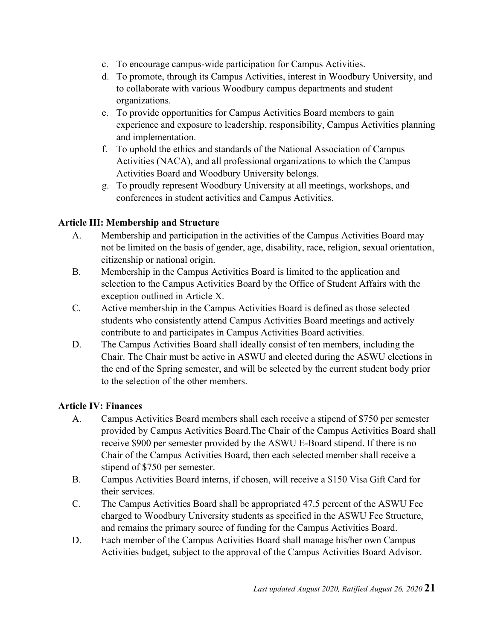- c. To encourage campus-wide participation for Campus Activities.
- d. To promote, through its Campus Activities, interest in Woodbury University, and to collaborate with various Woodbury campus departments and student organizations.
- e. To provide opportunities for Campus Activities Board members to gain experience and exposure to leadership, responsibility, Campus Activities planning and implementation.
- f. To uphold the ethics and standards of the National Association of Campus Activities (NACA), and all professional organizations to which the Campus Activities Board and Woodbury University belongs.
- g. To proudly represent Woodbury University at all meetings, workshops, and conferences in student activities and Campus Activities.

#### **Article III: Membership and Structure**

- A. Membership and participation in the activities of the Campus Activities Board may not be limited on the basis of gender, age, disability, race, religion, sexual orientation, citizenship or national origin.
- B. Membership in the Campus Activities Board is limited to the application and selection to the Campus Activities Board by the Office of Student Affairs with the exception outlined in Article X.
- C. Active membership in the Campus Activities Board is defined as those selected students who consistently attend Campus Activities Board meetings and actively contribute to and participates in Campus Activities Board activities.
- D. The Campus Activities Board shall ideally consist of ten members, including the Chair. The Chair must be active in ASWU and elected during the ASWU elections in the end of the Spring semester, and will be selected by the current student body prior to the selection of the other members.

#### **Article IV: Finances**

- A. Campus Activities Board members shall each receive a stipend of \$750 per semester provided by Campus Activities Board.The Chair of the Campus Activities Board shall receive \$900 per semester provided by the ASWU E-Board stipend. If there is no Chair of the Campus Activities Board, then each selected member shall receive a stipend of \$750 per semester.
- B. Campus Activities Board interns, if chosen, will receive a \$150 Visa Gift Card for their services.
- C. The Campus Activities Board shall be appropriated 47.5 percent of the ASWU Fee charged to Woodbury University students as specified in the ASWU Fee Structure, and remains the primary source of funding for the Campus Activities Board.
- D. Each member of the Campus Activities Board shall manage his/her own Campus Activities budget, subject to the approval of the Campus Activities Board Advisor.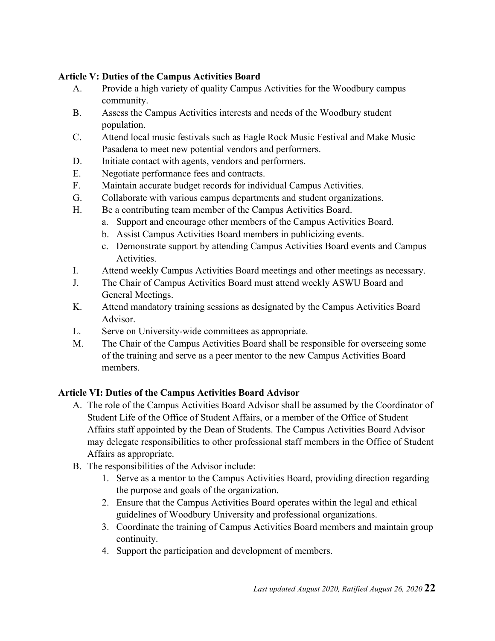#### **Article V: Duties of the Campus Activities Board**

- A. Provide a high variety of quality Campus Activities for the Woodbury campus community.
- B. Assess the Campus Activities interests and needs of the Woodbury student population.
- C. Attend local music festivals such as Eagle Rock Music Festival and Make Music Pasadena to meet new potential vendors and performers.
- D. Initiate contact with agents, vendors and performers.
- E. Negotiate performance fees and contracts.
- F. Maintain accurate budget records for individual Campus Activities.
- G. Collaborate with various campus departments and student organizations.
- H. Be a contributing team member of the Campus Activities Board.
	- a. Support and encourage other members of the Campus Activities Board.
	- b. Assist Campus Activities Board members in publicizing events.
	- c. Demonstrate support by attending Campus Activities Board events and Campus Activities.
- I. Attend weekly Campus Activities Board meetings and other meetings as necessary.
- J. The Chair of Campus Activities Board must attend weekly ASWU Board and General Meetings.
- K. Attend mandatory training sessions as designated by the Campus Activities Board Advisor.
- L. Serve on University-wide committees as appropriate.
- M. The Chair of the Campus Activities Board shall be responsible for overseeing some of the training and serve as a peer mentor to the new Campus Activities Board members.

#### **Article VI: Duties of the Campus Activities Board Advisor**

- A. The role of the Campus Activities Board Advisor shall be assumed by the Coordinator of Student Life of the Office of Student Affairs, or a member of the Office of Student Affairs staff appointed by the Dean of Students. The Campus Activities Board Advisor may delegate responsibilities to other professional staff members in the Office of Student Affairs as appropriate.
- B. The responsibilities of the Advisor include:
	- 1. Serve as a mentor to the Campus Activities Board, providing direction regarding the purpose and goals of the organization.
	- 2. Ensure that the Campus Activities Board operates within the legal and ethical guidelines of Woodbury University and professional organizations.
	- 3. Coordinate the training of Campus Activities Board members and maintain group continuity.
	- 4. Support the participation and development of members.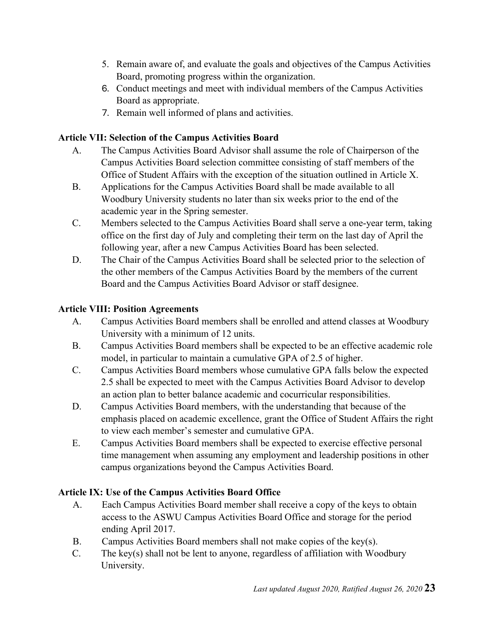- 5. Remain aware of, and evaluate the goals and objectives of the Campus Activities Board, promoting progress within the organization.
- 6. Conduct meetings and meet with individual members of the Campus Activities Board as appropriate.
- 7. Remain well informed of plans and activities.

### **Article VII: Selection of the Campus Activities Board**

- A. The Campus Activities Board Advisor shall assume the role of Chairperson of the Campus Activities Board selection committee consisting of staff members of the Office of Student Affairs with the exception of the situation outlined in Article X.
- B. Applications for the Campus Activities Board shall be made available to all Woodbury University students no later than six weeks prior to the end of the academic year in the Spring semester.
- C. Members selected to the Campus Activities Board shall serve a one-year term, taking office on the first day of July and completing their term on the last day of April the following year, after a new Campus Activities Board has been selected.
- D. The Chair of the Campus Activities Board shall be selected prior to the selection of the other members of the Campus Activities Board by the members of the current Board and the Campus Activities Board Advisor or staff designee.

### **Article VIII: Position Agreements**

- A. Campus Activities Board members shall be enrolled and attend classes at Woodbury University with a minimum of 12 units.
- B. Campus Activities Board members shall be expected to be an effective academic role model, in particular to maintain a cumulative GPA of 2.5 of higher.
- C. Campus Activities Board members whose cumulative GPA falls below the expected 2.5 shall be expected to meet with the Campus Activities Board Advisor to develop an action plan to better balance academic and cocurricular responsibilities.
- D. Campus Activities Board members, with the understanding that because of the emphasis placed on academic excellence, grant the Office of Student Affairs the right to view each member's semester and cumulative GPA.
- E. Campus Activities Board members shall be expected to exercise effective personal time management when assuming any employment and leadership positions in other campus organizations beyond the Campus Activities Board.

## **Article IX: Use of the Campus Activities Board Office**

- A. Each Campus Activities Board member shall receive a copy of the keys to obtain access to the ASWU Campus Activities Board Office and storage for the period ending April 2017.
- B. Campus Activities Board members shall not make copies of the key(s).
- C. The key(s) shall not be lent to anyone, regardless of affiliation with Woodbury University.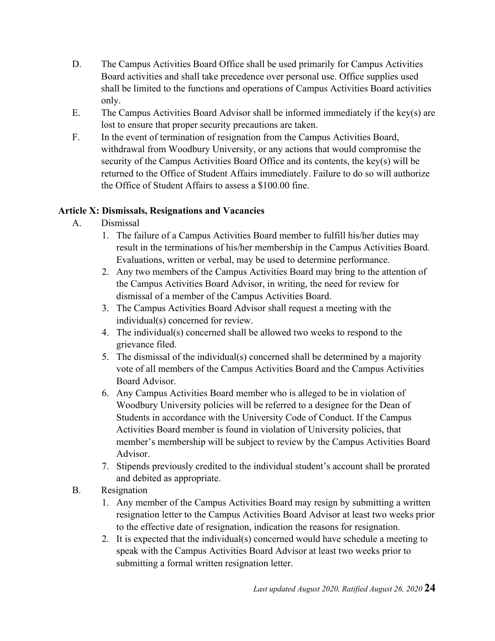- D. The Campus Activities Board Office shall be used primarily for Campus Activities Board activities and shall take precedence over personal use. Office supplies used shall be limited to the functions and operations of Campus Activities Board activities only.
- E. The Campus Activities Board Advisor shall be informed immediately if the key(s) are lost to ensure that proper security precautions are taken.
- F. In the event of termination of resignation from the Campus Activities Board, withdrawal from Woodbury University, or any actions that would compromise the security of the Campus Activities Board Office and its contents, the key(s) will be returned to the Office of Student Affairs immediately. Failure to do so will authorize the Office of Student Affairs to assess a \$100.00 fine.

### **Article X: Dismissals, Resignations and Vacancies**

- A. Dismissal
	- 1. The failure of a Campus Activities Board member to fulfill his/her duties may result in the terminations of his/her membership in the Campus Activities Board. Evaluations, written or verbal, may be used to determine performance.
	- 2. Any two members of the Campus Activities Board may bring to the attention of the Campus Activities Board Advisor, in writing, the need for review for dismissal of a member of the Campus Activities Board.
	- 3. The Campus Activities Board Advisor shall request a meeting with the individual(s) concerned for review.
	- 4. The individual(s) concerned shall be allowed two weeks to respond to the grievance filed.
	- 5. The dismissal of the individual(s) concerned shall be determined by a majority vote of all members of the Campus Activities Board and the Campus Activities Board Advisor.
	- 6. Any Campus Activities Board member who is alleged to be in violation of Woodbury University policies will be referred to a designee for the Dean of Students in accordance with the University Code of Conduct. If the Campus Activities Board member is found in violation of University policies, that member's membership will be subject to review by the Campus Activities Board Advisor.
	- 7. Stipends previously credited to the individual student's account shall be prorated and debited as appropriate.
- B. Resignation
	- 1. Any member of the Campus Activities Board may resign by submitting a written resignation letter to the Campus Activities Board Advisor at least two weeks prior to the effective date of resignation, indication the reasons for resignation.
	- 2. It is expected that the individual(s) concerned would have schedule a meeting to speak with the Campus Activities Board Advisor at least two weeks prior to submitting a formal written resignation letter.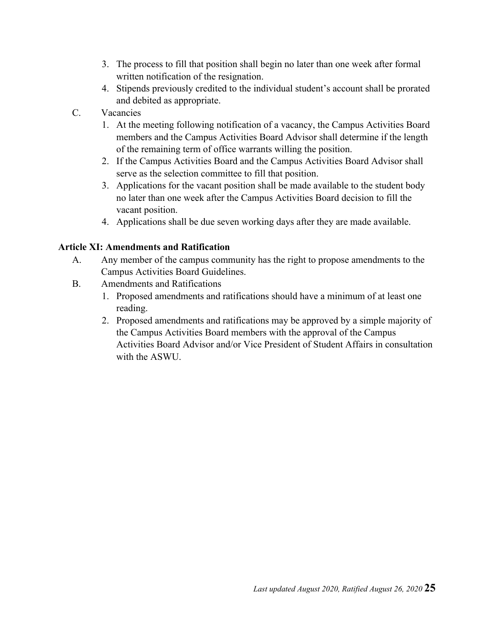- 3. The process to fill that position shall begin no later than one week after formal written notification of the resignation.
- 4. Stipends previously credited to the individual student's account shall be prorated and debited as appropriate.
- C. Vacancies
	- 1. At the meeting following notification of a vacancy, the Campus Activities Board members and the Campus Activities Board Advisor shall determine if the length of the remaining term of office warrants willing the position.
	- 2. If the Campus Activities Board and the Campus Activities Board Advisor shall serve as the selection committee to fill that position.
	- 3. Applications for the vacant position shall be made available to the student body no later than one week after the Campus Activities Board decision to fill the vacant position.
	- 4. Applications shall be due seven working days after they are made available.

#### **Article XI: Amendments and Ratification**

- A. Any member of the campus community has the right to propose amendments to the Campus Activities Board Guidelines.
- B. Amendments and Ratifications
	- 1. Proposed amendments and ratifications should have a minimum of at least one reading.
	- 2. Proposed amendments and ratifications may be approved by a simple majority of the Campus Activities Board members with the approval of the Campus Activities Board Advisor and/or Vice President of Student Affairs in consultation with the ASWU.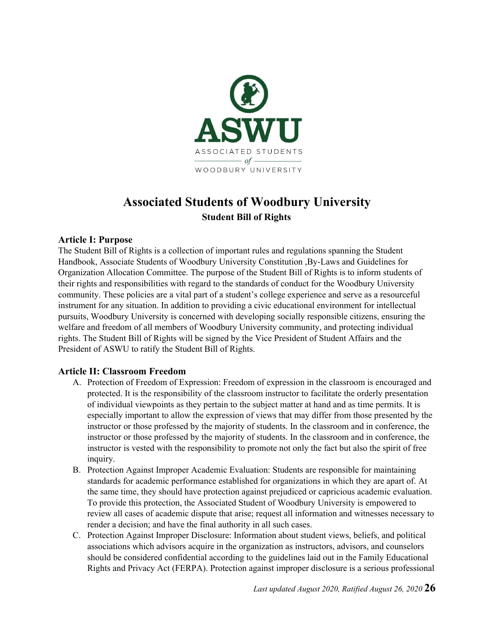

## **Associated Students of Woodbury University Student Bill of Rights**

#### **Article I: Purpose**

The Student Bill of Rights is a collection of important rules and regulations spanning the Student Handbook, Associate Students of Woodbury University Constitution ,By-Laws and Guidelines for Organization Allocation Committee. The purpose of the Student Bill of Rights is to inform students of their rights and responsibilities with regard to the standards of conduct for the Woodbury University community. These policies are a vital part of a student's college experience and serve as a resourceful instrument for any situation. In addition to providing a civic educational environment for intellectual pursuits, Woodbury University is concerned with developing socially responsible citizens, ensuring the welfare and freedom of all members of Woodbury University community, and protecting individual rights. The Student Bill of Rights will be signed by the Vice President of Student Affairs and the President of ASWU to ratify the Student Bill of Rights.

#### **Article II: Classroom Freedom**

- A. Protection of Freedom of Expression: Freedom of expression in the classroom is encouraged and protected. It is the responsibility of the classroom instructor to facilitate the orderly presentation of individual viewpoints as they pertain to the subject matter at hand and as time permits. It is especially important to allow the expression of views that may differ from those presented by the instructor or those professed by the majority of students. In the classroom and in conference, the instructor or those professed by the majority of students. In the classroom and in conference, the instructor is vested with the responsibility to promote not only the fact but also the spirit of free inquiry.
- B. Protection Against Improper Academic Evaluation: Students are responsible for maintaining standards for academic performance established for organizations in which they are apart of. At the same time, they should have protection against prejudiced or capricious academic evaluation. To provide this protection, the Associated Student of Woodbury University is empowered to review all cases of academic dispute that arise; request all information and witnesses necessary to render a decision; and have the final authority in all such cases.
- C. Protection Against Improper Disclosure: Information about student views, beliefs, and political associations which advisors acquire in the organization as instructors, advisors, and counselors should be considered confidential according to the guidelines laid out in the Family Educational Rights and Privacy Act (FERPA). Protection against improper disclosure is a serious professional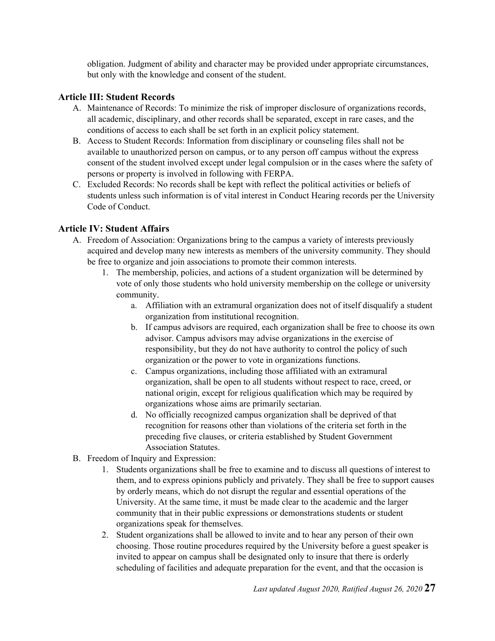obligation. Judgment of ability and character may be provided under appropriate circumstances, but only with the knowledge and consent of the student.

#### **Article III: Student Records**

- A. Maintenance of Records: To minimize the risk of improper disclosure of organizations records, all academic, disciplinary, and other records shall be separated, except in rare cases, and the conditions of access to each shall be set forth in an explicit policy statement.
- B. Access to Student Records: Information from disciplinary or counseling files shall not be available to unauthorized person on campus, or to any person off campus without the express consent of the student involved except under legal compulsion or in the cases where the safety of persons or property is involved in following with FERPA.
- C. Excluded Records: No records shall be kept with reflect the political activities or beliefs of students unless such information is of vital interest in Conduct Hearing records per the University Code of Conduct.

#### **Article IV: Student Affairs**

- A. Freedom of Association: Organizations bring to the campus a variety of interests previously acquired and develop many new interests as members of the university community. They should be free to organize and join associations to promote their common interests.
	- 1. The membership, policies, and actions of a student organization will be determined by vote of only those students who hold university membership on the college or university community.
		- a. Affiliation with an extramural organization does not of itself disqualify a student organization from institutional recognition.
		- b. If campus advisors are required, each organization shall be free to choose its own advisor. Campus advisors may advise organizations in the exercise of responsibility, but they do not have authority to control the policy of such organization or the power to vote in organizations functions.
		- c. Campus organizations, including those affiliated with an extramural organization, shall be open to all students without respect to race, creed, or national origin, except for religious qualification which may be required by organizations whose aims are primarily sectarian.
		- d. No officially recognized campus organization shall be deprived of that recognition for reasons other than violations of the criteria set forth in the preceding five clauses, or criteria established by Student Government Association Statutes.
- B. Freedom of Inquiry and Expression:
	- 1. Students organizations shall be free to examine and to discuss all questions of interest to them, and to express opinions publicly and privately. They shall be free to support causes by orderly means, which do not disrupt the regular and essential operations of the University. At the same time, it must be made clear to the academic and the larger community that in their public expressions or demonstrations students or student organizations speak for themselves.
	- 2. Student organizations shall be allowed to invite and to hear any person of their own choosing. Those routine procedures required by the University before a guest speaker is invited to appear on campus shall be designated only to insure that there is orderly scheduling of facilities and adequate preparation for the event, and that the occasion is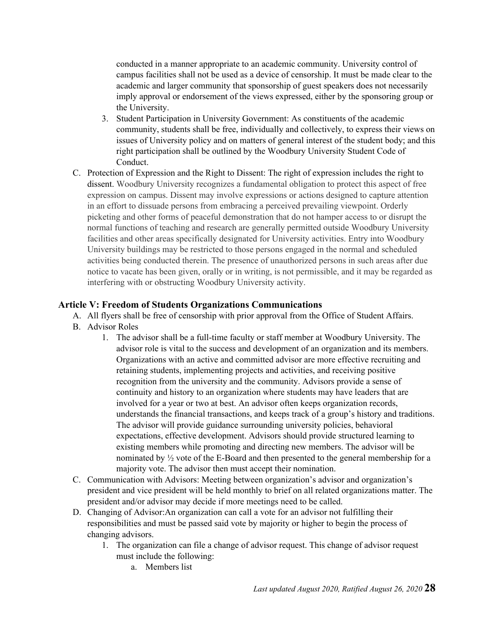conducted in a manner appropriate to an academic community. University control of campus facilities shall not be used as a device of censorship. It must be made clear to the academic and larger community that sponsorship of guest speakers does not necessarily imply approval or endorsement of the views expressed, either by the sponsoring group or the University.

- 3. Student Participation in University Government: As constituents of the academic community, students shall be free, individually and collectively, to express their views on issues of University policy and on matters of general interest of the student body; and this right participation shall be outlined by the Woodbury University Student Code of Conduct.
- C. Protection of Expression and the Right to Dissent: The right of expression includes the right to dissent. Woodbury University recognizes a fundamental obligation to protect this aspect of free expression on campus. Dissent may involve expressions or actions designed to capture attention in an effort to dissuade persons from embracing a perceived prevailing viewpoint. Orderly picketing and other forms of peaceful demonstration that do not hamper access to or disrupt the normal functions of teaching and research are generally permitted outside Woodbury University facilities and other areas specifically designated for University activities. Entry into Woodbury University buildings may be restricted to those persons engaged in the normal and scheduled activities being conducted therein. The presence of unauthorized persons in such areas after due notice to vacate has been given, orally or in writing, is not permissible, and it may be regarded as interfering with or obstructing Woodbury University activity.

#### **Article V: Freedom of Students Organizations Communications**

- A. All flyers shall be free of censorship with prior approval from the Office of Student Affairs.
- B. Advisor Roles
	- 1. The advisor shall be a full-time faculty or staff member at Woodbury University. The advisor role is vital to the success and development of an organization and its members. Organizations with an active and committed advisor are more effective recruiting and retaining students, implementing projects and activities, and receiving positive recognition from the university and the community. Advisors provide a sense of continuity and history to an organization where students may have leaders that are involved for a year or two at best. An advisor often keeps organization records, understands the financial transactions, and keeps track of a group's history and traditions. The advisor will provide guidance surrounding university policies, behavioral expectations, effective development. Advisors should provide structured learning to existing members while promoting and directing new members. The advisor will be nominated by ½ vote of the E-Board and then presented to the general membership for a majority vote. The advisor then must accept their nomination.
- C. Communication with Advisors: Meeting between organization's advisor and organization's president and vice president will be held monthly to brief on all related organizations matter. The president and/or advisor may decide if more meetings need to be called.
- D. Changing of Advisor:An organization can call a vote for an advisor not fulfilling their responsibilities and must be passed said vote by majority or higher to begin the process of changing advisors.
	- 1. The organization can file a change of advisor request. This change of advisor request must include the following:
		- a. Members list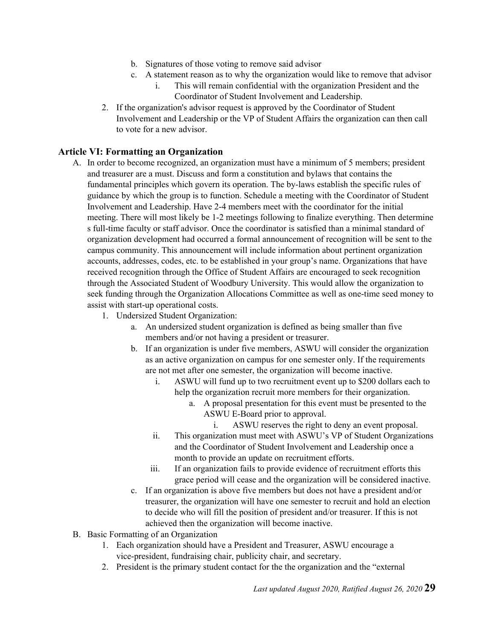- b. Signatures of those voting to remove said advisor
- c. A statement reason as to why the organization would like to remove that advisor
	- i. This will remain confidential with the organization President and the Coordinator of Student Involvement and Leadership.
- 2. If the organization's advisor request is approved by the Coordinator of Student Involvement and Leadership or the VP of Student Affairs the organization can then call to vote for a new advisor.

#### **Article VI: Formatting an Organization**

- A. In order to become recognized, an organization must have a minimum of 5 members; president and treasurer are a must. Discuss and form a constitution and bylaws that contains the fundamental principles which govern its operation. The by-laws establish the specific rules of guidance by which the group is to function. Schedule a meeting with the Coordinator of Student Involvement and Leadership. Have 2-4 members meet with the coordinator for the initial meeting. There will most likely be 1-2 meetings following to finalize everything. Then determine s full-time faculty or staff advisor. Once the coordinator is satisfied than a minimal standard of organization development had occurred a formal announcement of recognition will be sent to the campus community. This announcement will include information about pertinent organization accounts, addresses, codes, etc. to be established in your group's name. Organizations that have received recognition through the Office of Student Affairs are encouraged to seek recognition through the Associated Student of Woodbury University. This would allow the organization to seek funding through the Organization Allocations Committee as well as one-time seed money to assist with start-up operational costs.
	- 1. Undersized Student Organization:
		- a. An undersized student organization is defined as being smaller than five members and/or not having a president or treasurer.
		- b. If an organization is under five members, ASWU will consider the organization as an active organization on campus for one semester only. If the requirements are not met after one semester, the organization will become inactive.
			- i. ASWU will fund up to two recruitment event up to \$200 dollars each to help the organization recruit more members for their organization.
				- a. A proposal presentation for this event must be presented to the ASWU E-Board prior to approval.
					- i. ASWU reserves the right to deny an event proposal.
			- ii. This organization must meet with ASWU's VP of Student Organizations and the Coordinator of Student Involvement and Leadership once a month to provide an update on recruitment efforts.
			- iii. If an organization fails to provide evidence of recruitment efforts this grace period will cease and the organization will be considered inactive.
		- c. If an organization is above five members but does not have a president and/or treasurer, the organization will have one semester to recruit and hold an election to decide who will fill the position of president and/or treasurer. If this is not achieved then the organization will become inactive.
- B. Basic Formatting of an Organization
	- 1. Each organization should have a President and Treasurer, ASWU encourage a vice-president, fundraising chair, publicity chair, and secretary.
	- 2. President is the primary student contact for the the organization and the "external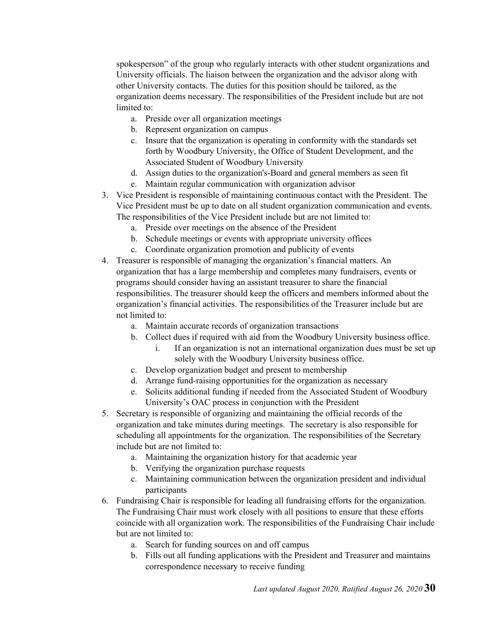spokesperson" of the group who regularly interacts with other student organizations and University officials. The liaison between the organization and the advisor along with other University contacts. The duties for this position should be tailored, as the organization deems necessary. The responsibilities of the President include but are not limited to:

- a. Preside over all organization meetings
- b. Represent organization on campus
- c. Insure that the organization is operating in conformity with the standards set forth by Woodbury University, the Office of Student Development, and the Associated Student of Woodbury University
- d. Assign duties to the organization's-Board and general members as seen fit
- e. Maintain regular communication with organization advisor
- 3. Vice President is responsible of maintaining continuous contact with the President. The Vice President must be up to date on all student organization communication and events. The responsibilities of the Vice President include but are not limited to:
	- a. Preside over meetings on the absence of the President
	- b. Schedule meetings or events with appropriate university offices
	- c. Coordinate organization promotion and publicity of events
- 4. Treasurer is responsible of managing the organization's financial matters. An organization that has a large membership and completes many fundraisers, events or programs should consider having an assistant treasurer to share the financial responsibilities. The treasurer should keep the officers and members informed about the organization's financial activities. The responsibilities of the Treasurer include but are not limited to:
	- a. Maintain accurate records of organization transactions
	- b. Collect dues if required with aid from the Woodbury University business office.
		- i. If an organization is not an international organization dues must be set up solely with the Woodbury University business office.
	- c. Develop organization budget and present to membership
	- d. Arrange fund-raising opportunities for the organization as necessary
	- e. Solicits additional funding if needed from the Associated Student of Woodbury University's OAC process in conjunction with the President
- 5. Secretary is responsible of organizing and maintaining the official records of the organization and take minutes during meetings. The secretary is also responsible for scheduling all appointments for the organization. The responsibilities of the Secretary include but are not limited to:
	- a. Maintaining the organization history for that academic year
	- b. Verifying the organization purchase requests
	- c. Maintaining communication between the organization president and individual participants
- 6. Fundraising Chair is responsible for leading all fundraising efforts for the organization. The Fundraising Chair must work closely with all positions to ensure that these efforts coincide with all organization work. The responsibilities of the Fundraising Chair include but are not limited to:
	- a. Search for funding sources on and off campus
	- b. Fills out all funding applications with the President and Treasurer and maintains correspondence necessary to receive funding